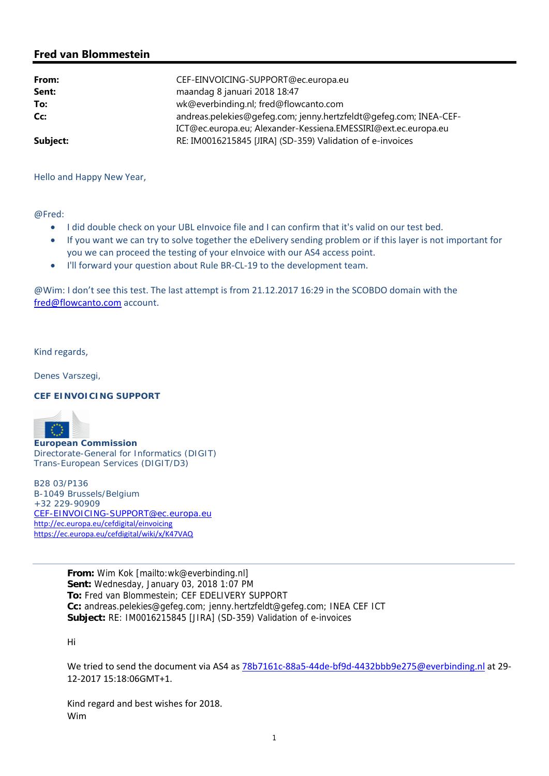## **Fred van Blommestein**

| From:    | CEF-EINVOICING-SUPPORT@ec.europa.eu                               |
|----------|-------------------------------------------------------------------|
| Sent:    | maandag 8 januari 2018 18:47                                      |
| To:      | wk@everbinding.nl; fred@flowcanto.com                             |
| Cc:      | andreas.pelekies@gefeg.com; jenny.hertzfeldt@gefeg.com; INEA-CEF- |
|          | ICT@ec.europa.eu; Alexander-Kessiena.EMESSIRI@ext.ec.europa.eu    |
| Subject: | RE: IM0016215845 [JIRA] (SD-359) Validation of e-invoices         |

Hello and Happy New Year,

@Fred:

- $\bullet$  I did double check on your UBL eInvoice file and I can confirm that it's valid on our test bed.
- If you want we can try to solve together the eDelivery sending problem or if this layer is not important for you we can proceed the testing of your eInvoice with our AS4 access point.
- I'll forward your question about Rule BR-CL-19 to the development team.

@Wim: I don't see this test. The last attempt is from 21.12.2017 16:29 in the SCOBDO domain with the fred@flowcanto.com account.

Kind regards,

Denes Varszegi,

## **CEF EINVOICING SUPPORT**



**European Commission** Directorate-General for Informatics (DIGIT) Trans-European Services (DIGIT/D3)

B28 03/P136 B-1049 Brussels/Belgium +32 229-90909 CEF-EINVOICING-SUPPORT@ec.europa.eu http://ec.europa.eu/cefdigital/einvoicing https://ec.europa.eu/cefdigital/wiki/x/K47VAQ

> **From:** Wim Kok [mailto:wk@everbinding.nl] **Sent:** Wednesday, January 03, 2018 1:07 PM **To:** Fred van Blommestein; CEF EDELIVERY SUPPORT **Cc:** andreas.pelekies@gefeg.com; jenny.hertzfeldt@gefeg.com; INEA CEF ICT **Subject:** RE: IM0016215845 [JIRA] (SD-359) Validation of e-invoices

Hi

We tried to send the document via AS4 as 78b7161c-88a5-44de-bf9d-4432bbb9e275@everbinding.nl at 29-12‐2017 15:18:06GMT+1.

Kind regard and best wishes for 2018. Wim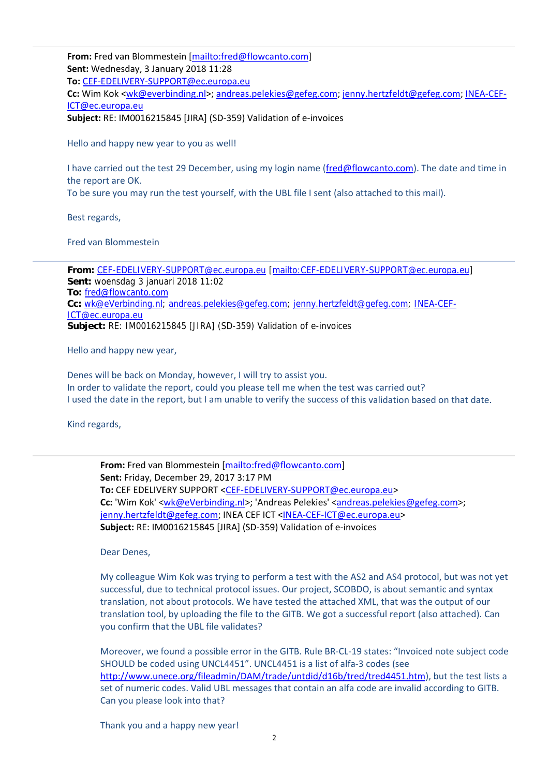**From:** Fred van Blommestein [mailto:fred@flowcanto.com] **Sent:** Wednesday, 3 January 2018 11:28

**To:** CEF‐EDELIVERY‐SUPPORT@ec.europa.eu

**Cc:** Wim Kok <wk@everbinding.nl>; andreas.pelekies@gefeg.com; jenny.hertzfeldt@gefeg.com; INEA‐CEF‐ ICT@ec.europa.eu

**Subject:** RE: IM0016215845 [JIRA] (SD‐359) Validation of e‐invoices

Hello and happy new year to you as well!

I have carried out the test 29 December, using my login name (fred@flowcanto.com). The date and time in the report are OK.

To be sure you may run the test yourself, with the UBL file I sent (also attached to this mail).

Best regards,

Fred van Blommestein

**From:** CEF-EDELIVERY-SUPPORT@ec.europa.eu [mailto:CEF-EDELIVERY-SUPPORT@ec.europa.eu] **Sent:** woensdag 3 januari 2018 11:02 **To:** fred@flowcanto.com **Cc:** wk@eVerbinding.nl; andreas.pelekies@gefeg.com; jenny.hertzfeldt@gefeg.com; INEA-CEF-ICT@ec.europa.eu **Subject:** RE: IM0016215845 [JIRA] (SD-359) Validation of e-invoices

Hello and happy new year,

Denes will be back on Monday, however, I will try to assist you. In order to validate the report, could you please tell me when the test was carried out? I used the date in the report, but I am unable to verify the success of this validation based on that date.

Kind regards,

**From:** Fred van Blommestein [mailto:fred@flowcanto.com] **Sent:** Friday, December 29, 2017 3:17 PM **To:** CEF EDELIVERY SUPPORT <CEF‐EDELIVERY‐SUPPORT@ec.europa.eu> **Cc:** 'Wim Kok' <wk@eVerbinding.nl>; 'Andreas Pelekies' <andreas.pelekies@gefeg.com>; jenny.hertzfeldt@gefeg.com; INEA CEF ICT <INEA-CEF-ICT@ec.europa.eu> **Subject:** RE: IM0016215845 [JIRA] (SD‐359) Validation of e‐invoices

Dear Denes,

My colleague Wim Kok was trying to perform a test with the AS2 and AS4 protocol, but was not yet successful, due to technical protocol issues. Our project, SCOBDO, is about semantic and syntax translation, not about protocols. We have tested the attached XML, that was the output of our translation tool, by uploading the file to the GITB. We got a successful report (also attached). Can you confirm that the UBL file validates?

Moreover, we found a possible error in the GITB. Rule BR‐CL‐19 states: "Invoiced note subject code SHOULD be coded using UNCL4451". UNCL4451 is a list of alfa‐3 codes (see http://www.unece.org/fileadmin/DAM/trade/untdid/d16b/tred/tred4451.htm), but the test lists a set of numeric codes. Valid UBL messages that contain an alfa code are invalid according to GITB. Can you please look into that?

Thank you and a happy new year!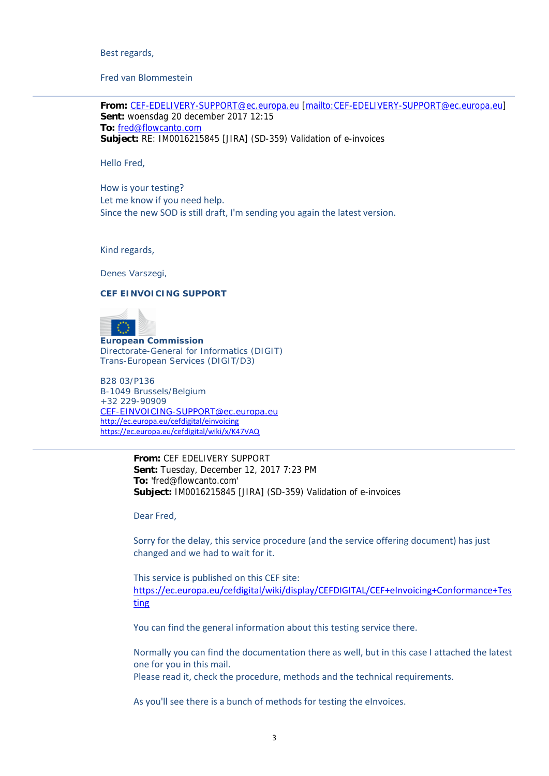Best regards,

Fred van Blommestein

**From:** CEF-EDELIVERY-SUPPORT@ec.europa.eu [mailto:CEF-EDELIVERY-SUPPORT@ec.europa.eu] **Sent:** woensdag 20 december 2017 12:15 **To:** fred@flowcanto.com **Subject:** RE: IM0016215845 [JIRA] (SD-359) Validation of e-invoices

Hello Fred,

How is your testing? Let me know if you need help. Since the new SOD is still draft, I'm sending you again the latest version.

Kind regards,

Denes Varszegi,

## **CEF EINVOICING SUPPORT**



**European Commission** Directorate-General for Informatics (DIGIT) Trans-European Services (DIGIT/D3)

B28 03/P136 B-1049 Brussels/Belgium +32 229-90909 CEF-EINVOICING-SUPPORT@ec.europa.eu http://ec.europa.eu/cefdigital/einvoicing https://ec.europa.eu/cefdigital/wiki/x/K47VAQ

> **From:** CEF EDELIVERY SUPPORT **Sent:** Tuesday, December 12, 2017 7:23 PM **To:** 'fred@flowcanto.com' **Subject:** IM0016215845 [JIRA] (SD-359) Validation of e-invoices

Dear Fred,

Sorry for the delay, this service procedure (and the service offering document) has just changed and we had to wait for it.

This service is published on this CEF site: https://ec.europa.eu/cefdigital/wiki/display/CEFDIGITAL/CEF+eInvoicing+Conformance+Tes ting

You can find the general information about this testing service there.

Normally you can find the documentation there as well, but in this case I attached the latest one for you in this mail.

Please read it, check the procedure, methods and the technical requirements.

As you'll see there is a bunch of methods for testing the eInvoices.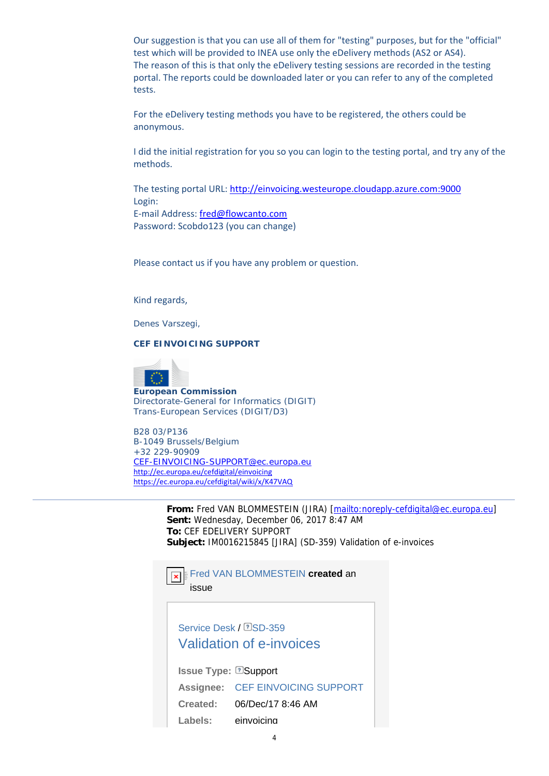Our suggestion is that you can use all of them for "testing" purposes, but for the "official" test which will be provided to INEA use only the eDelivery methods (AS2 or AS4). The reason of this is that only the eDelivery testing sessions are recorded in the testing portal. The reports could be downloaded later or you can refer to any of the completed tests.

For the eDelivery testing methods you have to be registered, the others could be anonymous.

I did the initial registration for you so you can login to the testing portal, and try any of the methods.

The testing portal URL: http://einvoicing.westeurope.cloudapp.azure.com:9000 Login: E‐mail Address: fred@flowcanto.com Password: Scobdo123 (you can change)

Please contact us if you have any problem or question.

Kind regards,

Denes Varszegi,

**CEF EINVOICING SUPPORT**



**European Commission** Directorate-General for Informatics (DIGIT) Trans-European Services (DIGIT/D3)

B28 03/P136 B-1049 Brussels/Belgium +32 229-90909 CEF-EINVOICING-SUPPORT@ec.europa.eu http://ec.europa.eu/cefdigital/einvoicing https://ec.europa.eu/cefdigital/wiki/x/K47VAQ

> **From:** Fred VAN BLOMMESTEIN (JIRA) [mailto:noreply-cefdigital@ec.europa.eu] **Sent:** Wednesday, December 06, 2017 8:47 AM **To:** CEF EDELIVERY SUPPORT **Subject:** IM0016215845 [JIRA] (SD-359) Validation of e-invoices



issue

Service Desk / **2SD-359** Validation of e-invoices

**Issue Type: 2Support Assignee:** CEF EINVOICING SUPPORT **Created:** 06/Dec/17 8:46 AM **Labels:** einvoicing